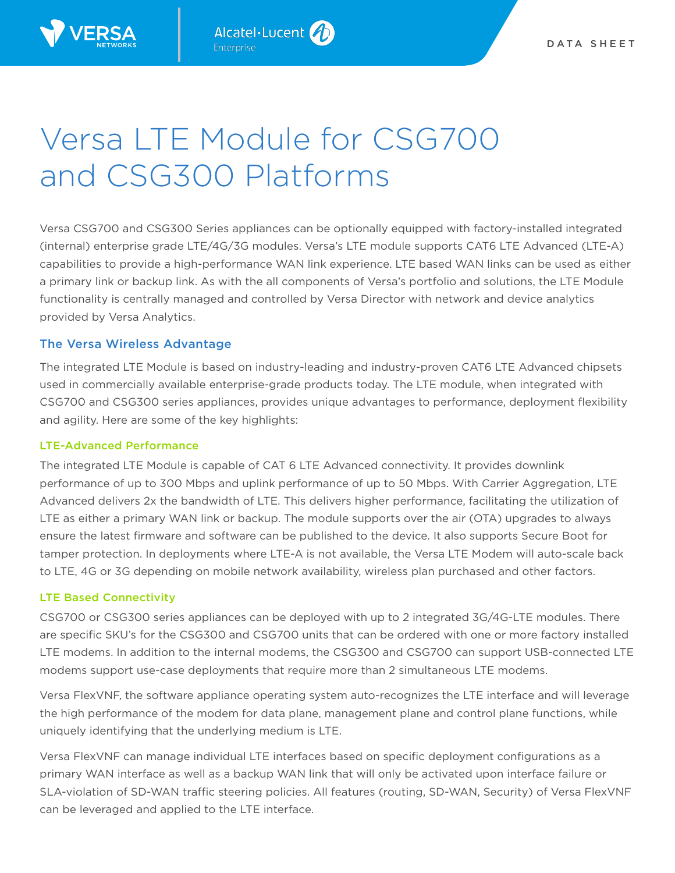

# Versa LTE Module for CSG700 and CSG300 Platforms

Versa CSG700 and CSG300 Series appliances can be optionally equipped with factory-installed integrated (internal) enterprise grade LTE/4G/3G modules. Versa's LTE module supports CAT6 LTE Advanced (LTE-A) capabilities to provide a high-performance WAN link experience. LTE based WAN links can be used as either a primary link or backup link. As with the all components of Versa's portfolio and solutions, the LTE Module functionality is centrally managed and controlled by Versa Director with network and device analytics provided by Versa Analytics.

# The Versa Wireless Advantage

The integrated LTE Module is based on industry-leading and industry-proven CAT6 LTE Advanced chipsets used in commercially available enterprise-grade products today. The LTE module, when integrated with CSG700 and CSG300 series appliances, provides unique advantages to performance, deployment flexibility and agility. Here are some of the key highlights:

## LTE-Advanced Performance

The integrated LTE Module is capable of CAT 6 LTE Advanced connectivity. It provides downlink performance of up to 300 Mbps and uplink performance of up to 50 Mbps. With Carrier Aggregation, LTE Advanced delivers 2x the bandwidth of LTE. This delivers higher performance, facilitating the utilization of LTE as either a primary WAN link or backup. The module supports over the air (OTA) upgrades to always ensure the latest firmware and software can be published to the device. It also supports Secure Boot for tamper protection. In deployments where LTE-A is not available, the Versa LTE Modem will auto-scale back to LTE, 4G or 3G depending on mobile network availability, wireless plan purchased and other factors.

# LTE Based Connectivity

CSG700 or CSG300 series appliances can be deployed with up to 2 integrated 3G/4G-LTE modules. There are specific SKU's for the CSG300 and CSG700 units that can be ordered with one or more factory installed LTE modems. In addition to the internal modems, the CSG300 and CSG700 can support USB-connected LTE modems support use-case deployments that require more than 2 simultaneous LTE modems.

Versa FlexVNF, the software appliance operating system auto-recognizes the LTE interface and will leverage the high performance of the modem for data plane, management plane and control plane functions, while uniquely identifying that the underlying medium is LTE.

Versa FlexVNF can manage individual LTE interfaces based on specific deployment configurations as a primary WAN interface as well as a backup WAN link that will only be activated upon interface failure or SLA-violation of SD-WAN traffic steering policies. All features (routing, SD-WAN, Security) of Versa FlexVNF can be leveraged and applied to the LTE interface.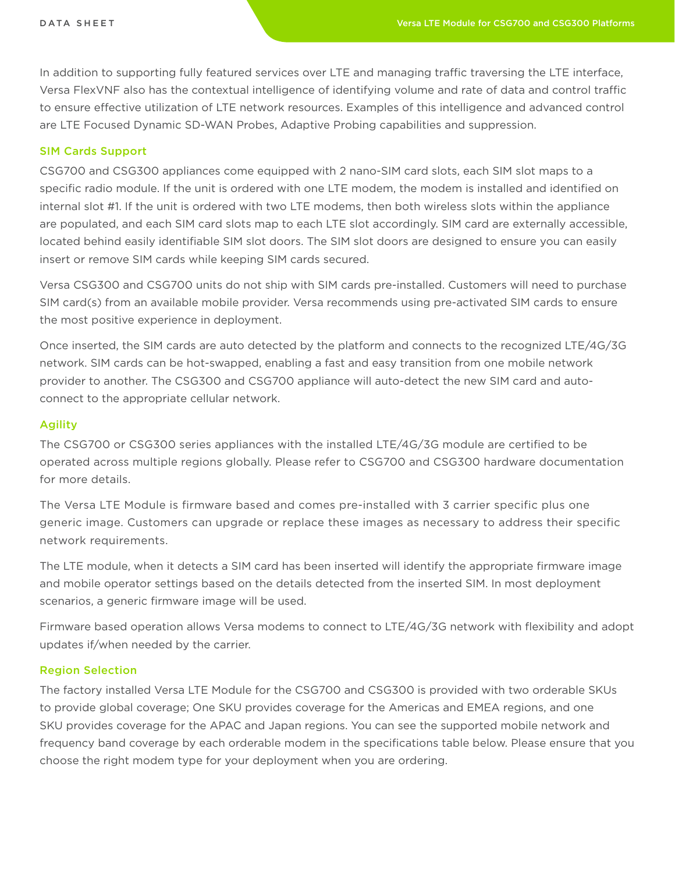In addition to supporting fully featured services over LTE and managing traffic traversing the LTE interface, Versa FlexVNF also has the contextual intelligence of identifying volume and rate of data and control traffic to ensure effective utilization of LTE network resources. Examples of this intelligence and advanced control are LTE Focused Dynamic SD-WAN Probes, Adaptive Probing capabilities and suppression.

#### SIM Cards Support

CSG700 and CSG300 appliances come equipped with 2 nano-SIM card slots, each SIM slot maps to a specific radio module. If the unit is ordered with one LTE modem, the modem is installed and identified on internal slot #1. If the unit is ordered with two LTE modems, then both wireless slots within the appliance are populated, and each SIM card slots map to each LTE slot accordingly. SIM card are externally accessible, located behind easily identifiable SIM slot doors. The SIM slot doors are designed to ensure you can easily insert or remove SIM cards while keeping SIM cards secured.

Versa CSG300 and CSG700 units do not ship with SIM cards pre-installed. Customers will need to purchase SIM card(s) from an available mobile provider. Versa recommends using pre-activated SIM cards to ensure the most positive experience in deployment.

Once inserted, the SIM cards are auto detected by the platform and connects to the recognized LTE/4G/3G network. SIM cards can be hot-swapped, enabling a fast and easy transition from one mobile network provider to another. The CSG300 and CSG700 appliance will auto-detect the new SIM card and autoconnect to the appropriate cellular network.

#### Agility

The CSG700 or CSG300 series appliances with the installed LTE/4G/3G module are certified to be operated across multiple regions globally. Please refer to CSG700 and CSG300 hardware documentation for more details.

The Versa LTE Module is firmware based and comes pre-installed with 3 carrier specific plus one generic image. Customers can upgrade or replace these images as necessary to address their specific network requirements.

The LTE module, when it detects a SIM card has been inserted will identify the appropriate firmware image and mobile operator settings based on the details detected from the inserted SIM. In most deployment scenarios, a generic firmware image will be used.

Firmware based operation allows Versa modems to connect to LTE/4G/3G network with flexibility and adopt updates if/when needed by the carrier.

#### Region Selection

The factory installed Versa LTE Module for the CSG700 and CSG300 is provided with two orderable SKUs to provide global coverage; One SKU provides coverage for the Americas and EMEA regions, and one SKU provides coverage for the APAC and Japan regions. You can see the supported mobile network and frequency band coverage by each orderable modem in the specifications table below. Please ensure that you choose the right modem type for your deployment when you are ordering.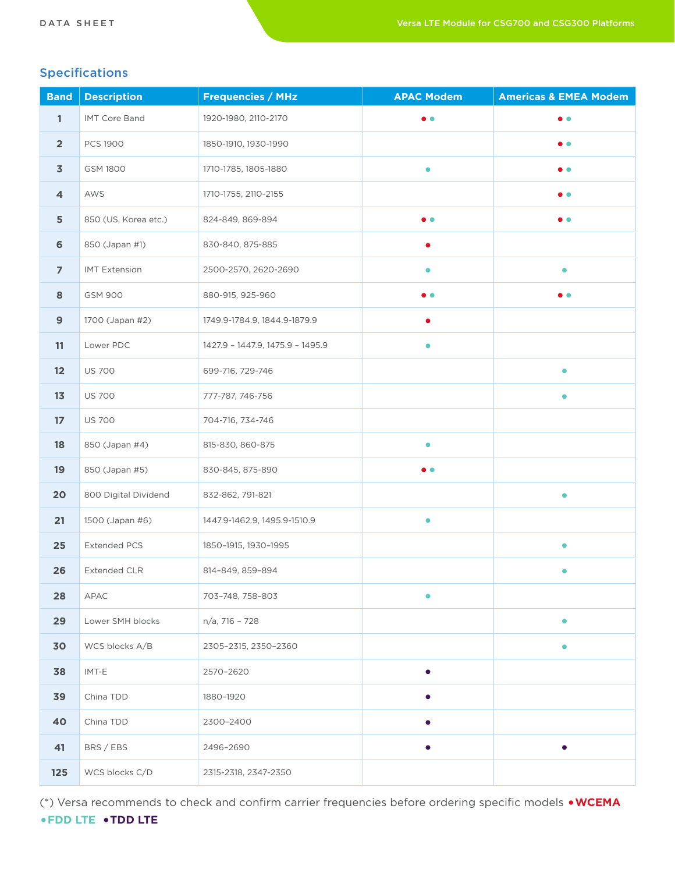# Specifications

| <b>Band</b>      | <b>Description</b>   | <b>Frequencies / MHz</b>         | <b>APAC Modem</b> | <b>Americas &amp; EMEA Modem</b> |
|------------------|----------------------|----------------------------------|-------------------|----------------------------------|
| $\mathbf{1}$     | <b>IMT Core Band</b> | 1920-1980, 2110-2170             | $\bullet$         | $\bullet$ $\bullet$              |
| $\overline{2}$   | <b>PCS 1900</b>      | 1850-1910, 1930-1990             |                   | $\bullet$ $\bullet$              |
| $\overline{3}$   | GSM 1800             | 1710-1785, 1805-1880             | $\bullet$         | $\bullet$ $\bullet$              |
| 4                | AWS                  | 1710-1755, 2110-2155             |                   | $\bullet$ $\bullet$              |
| 5                | 850 (US, Korea etc.) | 824-849, 869-894                 | $\bullet$         | $\bullet$ $\bullet$              |
| $\bf 6$          | 850 (Japan #1)       | 830-840, 875-885                 | ٠                 |                                  |
| $\overline{7}$   | <b>IMT Extension</b> | 2500-2570, 2620-2690             | $\bullet$         | $\bullet$                        |
| 8                | <b>GSM 900</b>       | 880-915, 925-960                 | . .               | . .                              |
| $\boldsymbol{9}$ | 1700 (Japan #2)      | 1749.9-1784.9, 1844.9-1879.9     |                   |                                  |
| 11               | Lower PDC            | 1427.9 - 1447.9, 1475.9 - 1495.9 | $\bullet$         |                                  |
| 12               | <b>US 700</b>        | 699-716, 729-746                 |                   | $\bullet$                        |
| 13               | <b>US 700</b>        | 777-787, 746-756                 |                   | $\bullet$                        |
| 17               | <b>US 700</b>        | 704-716, 734-746                 |                   |                                  |
| 18               | 850 (Japan #4)       | 815-830, 860-875                 | $\bullet$         |                                  |
| 19               | 850 (Japan #5)       | 830-845, 875-890                 | $\bullet$         |                                  |
| 20               | 800 Digital Dividend | 832-862, 791-821                 |                   | $\bullet$                        |
| 21               | 1500 (Japan #6)      | 1447.9-1462.9, 1495.9-1510.9     | $\bullet$         |                                  |
| 25               | <b>Extended PCS</b>  | 1850-1915, 1930-1995             |                   | $\bullet$                        |
| 26               | <b>Extended CLR</b>  | 814-849, 859-894                 |                   | $\bullet$                        |
| 28               | <b>APAC</b>          | 703-748, 758-803                 | $\bullet$         |                                  |
| 29               | Lower SMH blocks     | n/a, 716 - 728                   |                   |                                  |
| 30               | WCS blocks A/B       | 2305-2315, 2350-2360             |                   | $\bullet$                        |
| 38               | IMT-E                | 2570-2620                        |                   |                                  |
| 39               | China TDD            | 1880-1920                        |                   |                                  |
| 40               | China TDD            | 2300-2400                        |                   |                                  |
| 41               | BRS / EBS            | 2496-2690                        | $\bullet$         | $\bullet$                        |
| 125              | WCS blocks C/D       | 2315-2318, 2347-2350             |                   |                                  |

(\*) Versa recommends to check and confirm carrier frequencies before ordering specific models •**WCEMA** 

# •**FDD LTE** •**TDD LTE**